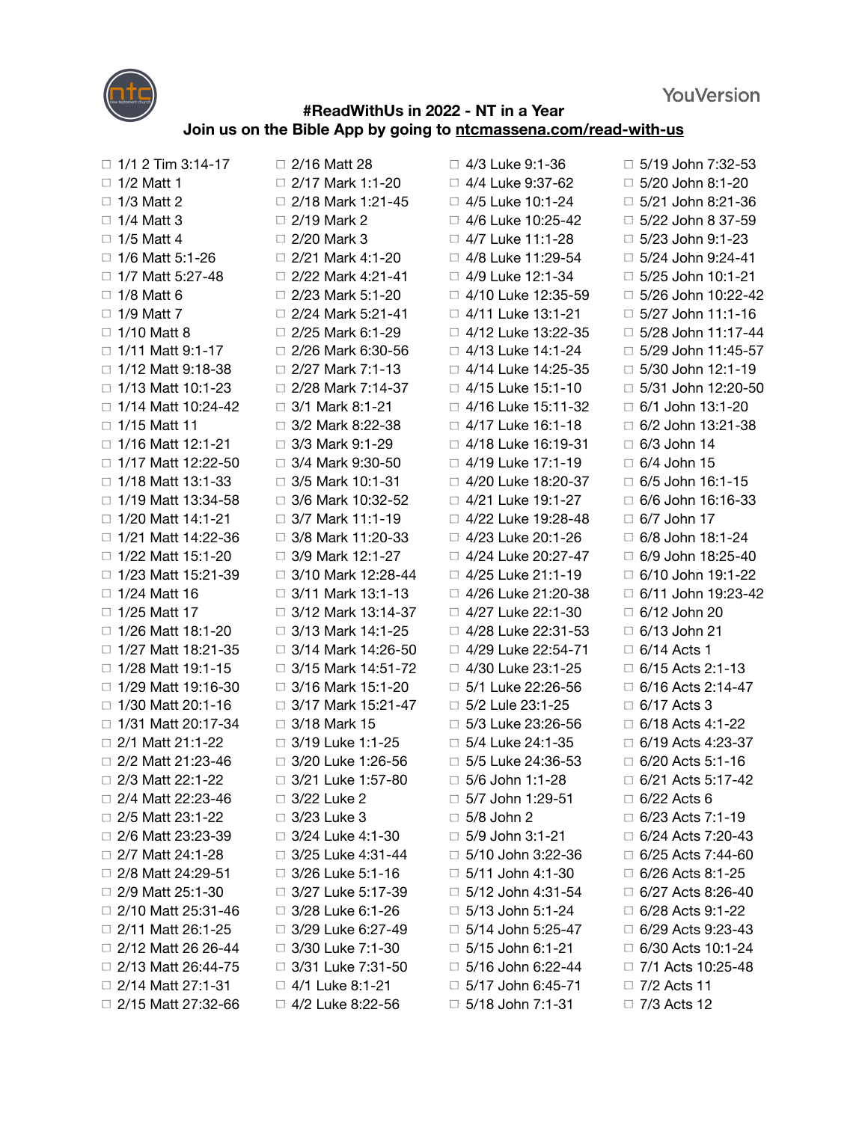**YouVersion** 



## **#ReadWithUs in 2022 - NT in a Year Join us on the Bible App by going to [ntcmassena.com/read-with-us](http://ntcmassena.com/read-with-us)**

 $\Box$  1/1 2 Tim 3:14-17  $\Box$  1/2 Matt 1  $\Box$  1/3 Matt 2  $\Box$  1/4 Matt 3  $\Box$  1/5 Matt 4  $\Box$  1/6 Matt 5:1-26  $\Box$  1/7 Matt 5:27-48  $\Box$  1/8 Matt 6  $\Box$  1/9 Matt 7  $\Box$  1/10 Matt 8  $\Box$  1/11 Matt 9:1-17  $\Box$  1/12 Matt 9:18-38  $\Box$  1/13 Matt 10:1-23  $\Box$  1/14 Matt 10:24-42  $\Box$  1/15 Matt 11  $\Box$  1/16 Matt 12:1-21  $\Box$  1/17 Matt 12:22-50  $\Box$  1/18 Matt 13:1-33  $\Box$  1/19 Matt 13:34-58  $\Box$  1/20 Matt 14:1-21 □ 1/21 Matt 14:22-36  $\Box$  1/22 Matt 15:1-20  $\Box$  1/23 Matt 15:21-39  $\Box$  1/24 Matt 16  $\Box$  1/25 Matt 17  $\Box$  1/26 Matt 18:1-20  $\Box$  1/27 Matt 18:21-35  $\Box$  1/28 Matt 19:1-15 □ 1/29 Matt 19:16-30  $\Box$  1/30 Matt 20:1-16  $\Box$  1/31 Matt 20:17-34  $\Box$  2/1 Matt 21:1-22 □ 2/2 Matt 21:23-46 □ 2/3 Matt 22:1-22 2/4 Matt 22:23-46 □ 2/5 Matt 23:1-22 2/6 Matt 23:23-39  $\Box$  2/7 Matt 24:1-28 □ 2/8 Matt 24:29-51  $\Box$  2/9 Matt 25:1-30  $\Box$  2/10 Matt 25:31-46  $\Box$  2/11 Matt 26:1-25  $\Box$  2/12 Matt 26 26-44 □ 2/13 Matt 26:44-75  $\Box$  2/14 Matt 27:1-31  $\Box$  2/15 Matt 27:32-66  $\Box$  2/16 Matt 28  $\Box$  2/17 Mark 1:1-20  $\Box$  2/18 Mark 1:21-45  $\Box$  2/19 Mark 2  $\Box$  2/20 Mark 3  $\Box$  2/21 Mark 4:1-20  $\Box$  2/22 Mark 4:21-41  $\Box$  2/23 Mark 5:1-20  $\Box$  2/24 Mark 5:21-41  $\Box$  2/25 Mark 6:1-29  $\Box$  2/26 Mark 6:30-56  $\Box$  2/27 Mark 7:1-13  $\Box$  2/28 Mark 7:14-37  $\Box$  3/1 Mark 8:1-21  $\Box$  3/2 Mark 8:22-38  $\Box$  3/3 Mark 9:1-29  $\Box$  3/4 Mark 9:30-50  $\Box$  3/5 Mark 10:1-31  $\Box$  3/6 Mark 10:32-52  $\Box$  3/7 Mark 11:1-19 □ 3/8 Mark 11:20-33  $\Box$  3/9 Mark 12:1-27  $\Box$  3/10 Mark 12:28-44  $\Box$  3/11 Mark 13:1-13  $\Box$  3/12 Mark 13:14-37  $\Box$  3/13 Mark 14:1-25  $\Box$  3/14 Mark 14:26-50  $\Box$  3/15 Mark 14:51-72  $\Box$  3/16 Mark 15:1-20  $\Box$  3/17 Mark 15:21-47 □ 3/18 Mark 15  $\Box$  3/19 Luke 1:1-25 □ 3/20 Luke 1:26-56 □ 3/21 Luke 1:57-80 □ 3/22 Luke 2 □ 3/23 Luke 3 □ 3/24 Luke 4:1-30  $\Box$  3/25 Luke 4:31-44 □ 3/26 Luke 5:1-16 □ 3/27 Luke 5:17-39 □ 3/28 Luke 6:1-26 □ 3/29 Luke 6:27-49 □ 3/30 Luke 7:1-30 □ 3/31 Luke 7:31-50 □ 4/1 Luke 8:1-21 □ 4/2 Luke 8:22-56

□ 4/3 Luke 9:1-36  $\Box$  4/4 Luke 9:37-62 □ 4/5 Luke 10:1-24 □ 4/6 Luke 10:25-42 □ 4/7 Luke 11:1-28 □ 4/8 Luke 11:29-54  $\Box$  4/9 Luke 12:1-34 □ 4/10 Luke 12:35-59  $\Box$  4/11 Luke 13:1-21 □ 4/12 Luke 13:22-35 □ 4/13 Luke 14:1-24 □ 4/14 Luke 14:25-35  $\Box$  4/15 Luke 15:1-10 4/16 Luke 15:11-32  $\Box$  4/17 Luke 16:1-18 □ 4/18 Luke 16:19-31  $\Box$  4/19 Luke 17:1-19 □ 4/20 Luke 18:20-37 □ 4/21 Luke 19:1-27 □ 4/22 Luke 19:28-48 □ 4/23 Luke 20:1-26 □ 4/24 Luke 20:27-47 □ 4/25 Luke 21:1-19 □ 4/26 Luke 21:20-38 □ 4/27 Luke 22:1-30 □ 4/28 Luke 22:31-53 □ 4/29 Luke 22:54-71 □ 4/30 Luke 23:1-25  $\Box$  5/1 Luke 22:26-56  $\Box$  5/2 Lule 23:1-25  $\Box$  5/3 Luke 23:26-56  $\Box$  5/4 Luke 24:1-35  $\Box$  5/5 Luke 24:36-53 □ 5/6 John 1:1-28  $\Box$  5/7 John 1:29-51  $\Box$  5/8 John 2  $\Box$  5/9 John 3:1-21  $\Box$  5/10 John 3:22-36  $\Box$  5/11 John 4:1-30  $\Box$  5/12 John 4:31-54  $\Box$  5/13 John 5:1-24  $\Box$  5/14 John 5:25-47  $\Box$  5/15 John 6:1-21  $\Box$  5/16 John 6:22-44  $\Box$  5/17 John 6:45-71

 $\Box$  5/18 John 7:1-31

 $\Box$  5/19 John 7:32-53  $\Box$  5/20 John 8:1-20  $\Box$  5/21 John 8:21-36  $\Box$  5/22 John 8 37-59  $\Box$  5/23 John 9:1-23  $\Box$  5/24 John 9:24-41  $\Box$  5/25 John 10:1-21  $\Box$  5/26 John 10:22-42  $\Box$  5/27 John 11:1-16  $\Box$  5/28 John 11:17-44  $\Box$  5/29 John 11:45-57  $\Box$  5/30 John 12:1-19 □ 5/31 John 12:20-50  $\Box$  6/1 John 13:1-20  $\Box$  6/2 John 13:21-38  $\Box$  6/3 John 14  $\Box$  6/4 John 15  $\Box$  6/5 John 16:1-15 6/6 John 16:16-33  $\Box$  6/7 John 17  $\Box$  6/8 John 18:1-24  $\Box$  6/9 John 18:25-40  $\Box$  6/10 John 19:1-22  $\Box$  6/11 John 19:23-42  $\Box$  6/12 John 20  $\Box$  6/13 John 21  $\Box$  6/14 Acts 1  $\Box$  6/15 Acts 2:1-13  $\Box$  6/16 Acts 2:14-47  $\Box$  6/17 Acts 3  $\Box$  6/18 Acts 4:1-22  $\Box$  6/19 Acts 4:23-37  $\Box$  6/20 Acts 5:1-16  $\Box$  6/21 Acts 5:17-42  $\Box$  6/22 Acts 6  $\Box$  6/23 Acts 7:1-19  $\Box$  6/24 Acts 7:20-43  $\Box$  6/25 Acts 7:44-60  $\Box$  6/26 Acts 8:1-25  $\Box$  6/27 Acts 8:26-40 □ 6/28 Acts 9:1-22  $\Box$  6/29 Acts 9:23-43 □ 6/30 Acts 10:1-24 □ 7/1 Acts 10:25-48  $\Box$  7/2 Acts 11 □ 7/3 Acts 12